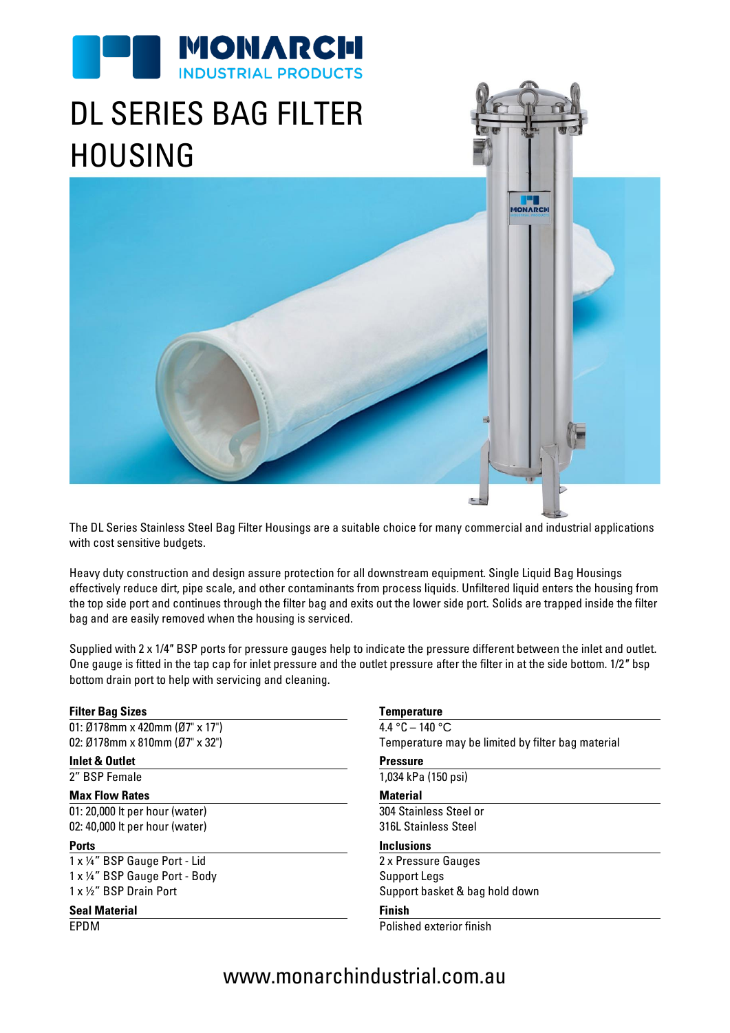

# DL SERIES BAG FILTER HOUSING



The DL Series Stainless Steel Bag Filter Housings are a suitable choice for many commercial and industrial applications with cost sensitive budgets.

Heavy duty construction and design assure protection for all downstream equipment. Single Liquid Bag Housings effectively reduce dirt, pipe scale, and other contaminants from process liquids. Unfiltered liquid enters the housing from the top side port and continues through the filter bag and exits out the lower side port. Solids are trapped inside the filter bag and are easily removed when the housing is serviced.

Supplied with 2 x 1/4″ BSP ports for pressure gauges help to indicate the pressure different between the inlet and outlet. One gauge is fitted in the tap cap for inlet pressure and the outlet pressure after the filter in at the side bottom. 1/2″ bsp bottom drain port to help with servicing and cleaning.

### **Filter Bag Sizes**

## **Inlet & Outlet**

## **Max Flow Rates**

### **Seal Material Finish**

| <b>Filter Bag Sizes</b>        | Temperature                                       |  |  |
|--------------------------------|---------------------------------------------------|--|--|
| 01: Ø178mm x 420mm (Ø7" x 17") | $4.4 °C - 140 °C$                                 |  |  |
| 02: Ø178mm x 810mm (Ø7" x 32") | Temperature may be limited by filter bag material |  |  |
| <b>Inlet &amp; Outlet</b>      | <b>Pressure</b>                                   |  |  |
| 2" BSP Female                  | 1,034 kPa (150 psi)                               |  |  |
| <b>Max Flow Rates</b>          | <b>Material</b>                                   |  |  |
| 01: 20,000 It per hour (water) | 304 Stainless Steel or                            |  |  |
| 02: 40,000 It per hour (water) | <b>316L Stainless Steel</b>                       |  |  |
| <b>Ports</b>                   | <b>Inclusions</b>                                 |  |  |
| 1 x 1/4" BSP Gauge Port - Lid  | 2 x Pressure Gauges                               |  |  |
| 1 x 1/4" BSP Gauge Port - Body | <b>Support Legs</b>                               |  |  |
| 1 x ½" BSP Drain Port          | Support basket & bag hold down                    |  |  |
|                                |                                                   |  |  |

EPDM Polished exterior finish